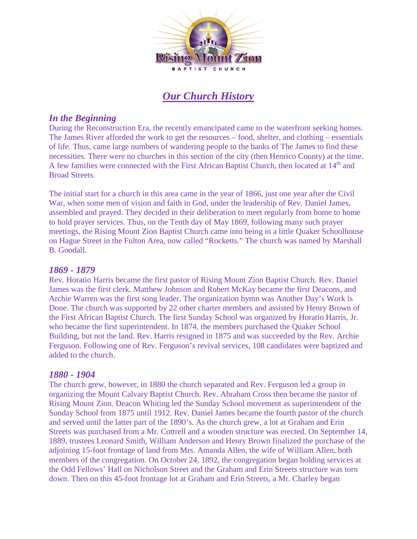

# *Our Church History*

## *In the Beginning*

During the Reconstruction Era, the recently emancipated came to the waterfront seeking homes. The James River afforded the work to get the resources – food, shelter, and clothing – essentials of life. Thus, came large numbers of wandering people to the banks of The James to find these necessities. There were no churches in this section of the city (then Henrico County) at the time. A few families were connected with the First African Baptist Church, then located at 14<sup>th</sup> and Broad Streets.

The initial start for a church in this area came in the year of 1866, just one year after the Civil War, when some men of vision and faith in God, under the leadership of Rev. Daniel James, assembled and prayed. They decided in their deliberation to meet regularly from home to home to hold prayer services. Thus, on the Tenth day of May 1869, following many such prayer meetings, the Rising Mount Zion Baptist Church came into being in a little Quaker Schoolhouse on Hague Street in the Fulton Area, now called "Rocketts." The church was named by Marshall B. Goodall.

#### *1869 - 1879*

Rev. Horatio Harris became the first pastor of Rising Mount Zion Baptist Church. Rev. Daniel James was the first clerk. Matthew Johnson and Robert McKay became the first Deacons, and Archie Warren was the first song leader. The organization hymn was Another Day's Work is Done. The church was supported by 22 other charter members and assisted by Henry Brown of the First African Baptist Church. The first Sunday School was organized by Horatio Harris, Jr. who became the first superintendent. In 1874, the members purchased the Quaker School Building, but not the land. Rev. Harris resigned in 1875 and was succeeded by the Rev. Archie Ferguson. Following one of Rev. Ferguson's revival services, 108 candidates were baptized and added to the church.

#### *1880 - 1904*

The church grew, however, in 1880 the church separated and Rev. Ferguson led a group in organizing the Mount Calvary Baptist Church. Rev. Abraham Cross then became the pastor of Rising Mount Zion. Deacon Whiting led the Sunday School movement as superintendent of the Sunday School from 1875 until 1912. Rev. Daniel James became the fourth pastor of the church and served until the latter part of the 1890's. As the church grew, a lot at Graham and Erin Streets was purchased from a Mr. Cottrell and a wooden structure was erected. On September 14, 1889, trustees Leonard Smith, William Anderson and Henry Brown finalized the purchase of the adjoining 15-foot frontage of land from Mrs. Amanda Allen, the wife of William Allen, both members of the congregation. On October 24, 1892, the congregation began holding services at the Odd Fellows' Hall on Nicholson Street and the Graham and Erin Streets structure was torn down. Then on this 45-foot frontage lot at Graham and Erin Streets, a Mr. Charley began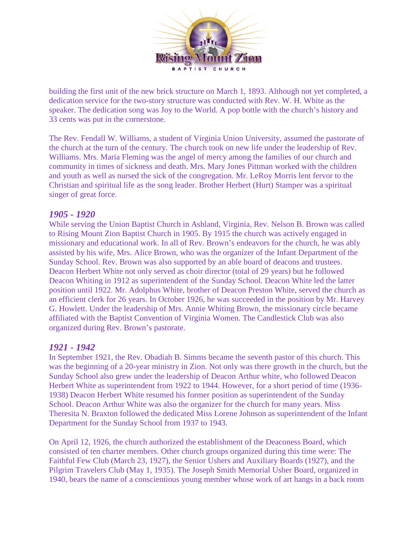

building the first unit of the new brick structure on March 1, 1893. Although not yet completed, a dedication service for the two-story structure was conducted with Rev. W. H. White as the speaker. The dedication song was Joy to the World. A pop bottle with the church's history and 33 cents was put in the cornerstone.

The Rev. Fendall W. Williams, a student of Virginia Union University, assumed the pastorate of the church at the turn of the century. The church took on new life under the leadership of Rev. Williams. Mrs. Maria Fleming was the angel of mercy among the families of our church and community in times of sickness and death. Mrs. Mary Jones Pittman worked with the children and youth as well as nursed the sick of the congregation. Mr. LeRoy Morris lent fervor to the Christian and spiritual life as the song leader. Brother Herbert (Hurt) Stamper was a spiritual singer of great force.

#### *1905 - 1920*

While serving the Union Baptist Church in Ashland, Virginia, Rev. Nelson B. Brown was called to Rising Mount Zion Baptist Church in 1905. By 1915 the church was actively engaged in missionary and educational work. In all of Rev. Brown's endeavors for the church, he was ably assisted by his wife, Mrs. Alice Brown, who was the organizer of the Infant Department of the Sunday School. Rev. Brown was also supported by an able board of deacons and trustees. Deacon Herbert White not only served as choir director (total of 29 years) but he followed Deacon Whiting in 1912 as superintendent of the Sunday School. Deacon White led the latter position until 1922. Mr. Adolphus White, brother of Deacon Preston White, served the church as an efficient clerk for 26 years. In October 1926, he was succeeded in the position by Mr. Harvey G. Howlett. Under the leadership of Mrs. Annie Whiting Brown, the missionary circle became affiliated with the Baptist Convention of Virginia Women. The Candlestick Club was also organized during Rev. Brown's pastorate.

#### *1921 - 1942*

In September 1921, the Rev. Obadiah B. Simms became the seventh pastor of this church. This was the beginning of a 20-year ministry in Zion. Not only was there growth in the church, but the Sunday School also grew under the leadership of Deacon Arthur white, who followed Deacon Herbert White as superintendent from 1922 to 1944. However, for a short period of time (1936- 1938) Deacon Herbert White resumed his former position as superintendent of the Sunday School. Deacon Arthur White was also the organizer for the church for many years. Miss Theresita N. Braxton followed the dedicated Miss Lorene Johnson as superintendent of the Infant Department for the Sunday School from 1937 to 1943.

On April 12, 1926, the church authorized the establishment of the Deaconess Board, which consisted of ten charter members. Other church groups organized during this time were: The Faithful Few Club (March 23, 1927), the Senior Ushers and Auxiliary Boards (1927), and the Pilgrim Travelers Club (May 1, 1935). The Joseph Smith Memorial Usher Board, organized in 1940, bears the name of a conscientious young member whose work of art hangs in a back room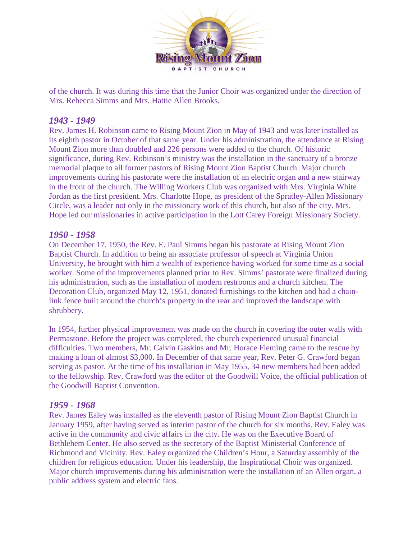

of the church. It was during this time that the Junior Choir was organized under the direction of Mrs. Rebecca Simms and Mrs. Hattie Allen Brooks.

## *1943 - 1949*

Rev. James H. Robinson came to Rising Mount Zion in May of 1943 and was later installed as its eighth pastor in October of that same year. Under his administration, the attendance at Rising Mount Zion more than doubled and 226 persons were added to the church. Of historic significance, during Rev. Robinson's ministry was the installation in the sanctuary of a bronze memorial plaque to all former pastors of Rising Mount Zion Baptist Church. Major church improvements during his pastorate were the installation of an electric organ and a new stairway in the front of the church. The Willing Workers Club was organized with Mrs. Virginia White Jordan as the first president. Mrs. Charlotte Hope, as president of the Spratley-Allen Missionary Circle, was a leader not only in the missionary work of this church, but also of the city. Mrs. Hope led our missionaries in active participation in the Lott Carey Foreign Missionary Society.

#### *1950 - 1958*

On December 17, 1950, the Rev. E. Paul Simms began his pastorate at Rising Mount Zion Baptist Church. In addition to being an associate professor of speech at Virginia Union University, he brought with him a wealth of experience having worked for some time as a social worker. Some of the improvements planned prior to Rev. Simms' pastorate were finalized during his administration, such as the installation of modern restrooms and a church kitchen. The Decoration Club, organized May 12, 1951, donated furnishings to the kitchen and had a chainlink fence built around the church's property in the rear and improved the landscape with shrubbery.

In 1954, further physical improvement was made on the church in covering the outer walls with Permastone. Before the project was completed, the church experienced unusual financial difficulties. Two members, Mr. Calvin Gaskins and Mr. Horace Fleming came to the rescue by making a loan of almost \$3,000. In December of that same year, Rev. Peter G. Crawford began serving as pastor. At the time of his installation in May 1955, 34 new members had been added to the fellowship. Rev. Crawford was the editor of the Goodwill Voice, the official publication of the Goodwill Baptist Convention.

#### *1959 - 1968*

Rev. James Ealey was installed as the eleventh pastor of Rising Mount Zion Baptist Church in January 1959, after having served as interim pastor of the church for six months. Rev. Ealey was active in the community and civic affairs in the city. He was on the Executive Board of Bethlehem Center. He also served as the secretary of the Baptist Ministerial Conference of Richmond and Vicinity. Rev. Ealey organized the Children's Hour, a Saturday assembly of the children for religious education. Under his leadership, the Inspirational Choir was organized. Major church improvements during his administration were the installation of an Allen organ, a public address system and electric fans.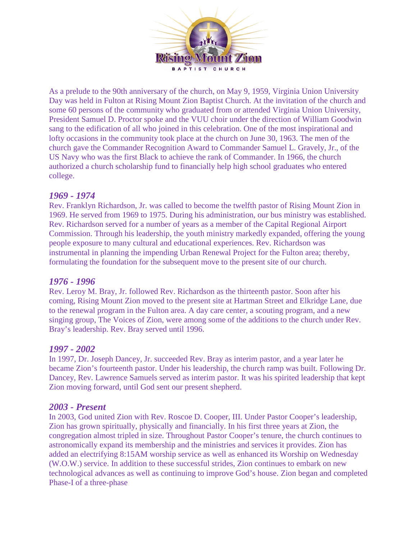

As a prelude to the 90th anniversary of the church, on May 9, 1959, Virginia Union University Day was held in Fulton at Rising Mount Zion Baptist Church. At the invitation of the church and some 60 persons of the community who graduated from or attended Virginia Union University, President Samuel D. Proctor spoke and the VUU choir under the direction of William Goodwin sang to the edification of all who joined in this celebration. One of the most inspirational and lofty occasions in the community took place at the church on June 30, 1963. The men of the church gave the Commander Recognition Award to Commander Samuel L. Gravely, Jr., of the US Navy who was the first Black to achieve the rank of Commander. In 1966, the church authorized a church scholarship fund to financially help high school graduates who entered college.

# *1969 - 1974*

Rev. Franklyn Richardson, Jr. was called to become the twelfth pastor of Rising Mount Zion in 1969. He served from 1969 to 1975. During his administration, our bus ministry was established. Rev. Richardson served for a number of years as a member of the Capital Regional Airport Commission. Through his leadership, the youth ministry markedly expanded, offering the young people exposure to many cultural and educational experiences. Rev. Richardson was instrumental in planning the impending Urban Renewal Project for the Fulton area; thereby, formulating the foundation for the subsequent move to the present site of our church.

#### *1976 - 1996*

Rev. Leroy M. Bray, Jr. followed Rev. Richardson as the thirteenth pastor. Soon after his coming, Rising Mount Zion moved to the present site at Hartman Street and Elkridge Lane, due to the renewal program in the Fulton area. A day care center, a scouting program, and a new singing group, The Voices of Zion, were among some of the additions to the church under Rev. Bray's leadership. Rev. Bray served until 1996.

#### *1997 - 2002*

In 1997, Dr. Joseph Dancey, Jr. succeeded Rev. Bray as interim pastor, and a year later he became Zion's fourteenth pastor. Under his leadership, the church ramp was built. Following Dr. Dancey, Rev. Lawrence Samuels served as interim pastor. It was his spirited leadership that kept Zion moving forward, until God sent our present shepherd.

#### *2003 - Present*

In 2003, God united Zion with Rev. Roscoe D. Cooper, III. Under Pastor Cooper's leadership, Zion has grown spiritually, physically and financially. In his first three years at Zion, the congregation almost tripled in size. Throughout Pastor Cooper's tenure, the church continues to astronomically expand its membership and the ministries and services it provides. Zion has added an electrifying 8:15AM worship service as well as enhanced its Worship on Wednesday (W.O.W.) service. In addition to these successful strides, Zion continues to embark on new technological advances as well as continuing to improve God's house. Zion began and completed Phase-I of a three-phase